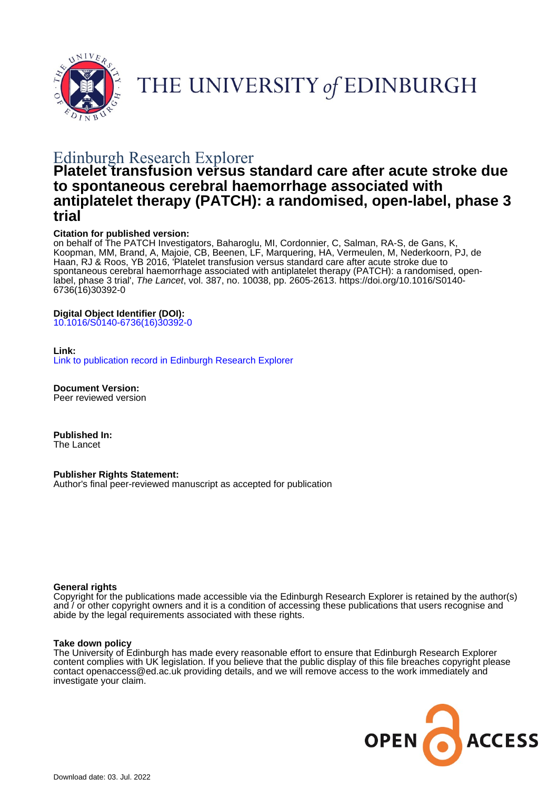

THE UNIVERSITY of EDINBURGH

# Edinburgh Research Explorer

# **Platelet transfusion versus standard care after acute stroke due to spontaneous cerebral haemorrhage associated with antiplatelet therapy (PATCH): a randomised, open-label, phase 3 trial**

#### **Citation for published version:**

on behalf of The PATCH Investigators, Baharoglu, MI, Cordonnier, C, Salman, RA-S, de Gans, K, Koopman, MM, Brand, A, Majoie, CB, Beenen, LF, Marquering, HA, Vermeulen, M, Nederkoorn, PJ, de Haan, RJ & Roos, YB 2016, 'Platelet transfusion versus standard care after acute stroke due to spontaneous cerebral haemorrhage associated with antiplatelet therapy (PATCH): a randomised, openlabel, phase 3 trial', The Lancet, vol. 387, no. 10038, pp. 2605-2613. [https://doi.org/10.1016/S0140-](https://doi.org/10.1016/S0140-6736(16)30392-0) [6736\(16\)30392-0](https://doi.org/10.1016/S0140-6736(16)30392-0)

#### **Digital Object Identifier (DOI):**

[10.1016/S0140-6736\(16\)30392-0](https://doi.org/10.1016/S0140-6736(16)30392-0)

#### **Link:**

[Link to publication record in Edinburgh Research Explorer](https://www.research.ed.ac.uk/en/publications/caca8ad3-3c23-4622-85b9-094a197661b5)

**Document Version:** Peer reviewed version

**Published In:** The Lancet

**Publisher Rights Statement:**

Author's final peer-reviewed manuscript as accepted for publication

#### **General rights**

Copyright for the publications made accessible via the Edinburgh Research Explorer is retained by the author(s) and / or other copyright owners and it is a condition of accessing these publications that users recognise and abide by the legal requirements associated with these rights.

#### **Take down policy**

The University of Edinburgh has made every reasonable effort to ensure that Edinburgh Research Explorer content complies with UK legislation. If you believe that the public display of this file breaches copyright please contact openaccess@ed.ac.uk providing details, and we will remove access to the work immediately and investigate your claim.

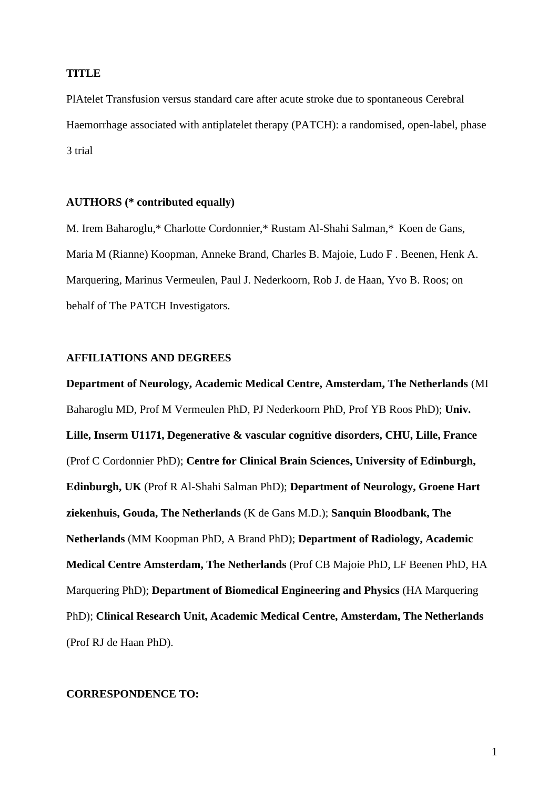## **TITLE**

PlAtelet Transfusion versus standard care after acute stroke due to spontaneous Cerebral Haemorrhage associated with antiplatelet therapy (PATCH): a randomised, open-label, phase 3 trial

## **AUTHORS (\* contributed equally)**

M. Irem Baharoglu,\* Charlotte Cordonnier,\* Rustam Al-Shahi Salman,\* Koen de Gans, Maria M (Rianne) Koopman, Anneke Brand, Charles B. Majoie, Ludo F . Beenen, Henk A. Marquering, Marinus Vermeulen, Paul J. Nederkoorn, Rob J. de Haan, Yvo B. Roos; on behalf of The PATCH Investigators.

## **AFFILIATIONS AND DEGREES**

**Department of Neurology, Academic Medical Centre, Amsterdam, The Netherlands** (MI Baharoglu MD, Prof M Vermeulen PhD, PJ Nederkoorn PhD, Prof YB Roos PhD); **Univ. Lille, Inserm U1171, Degenerative & vascular cognitive disorders, CHU, Lille, France** (Prof C Cordonnier PhD); **Centre for Clinical Brain Sciences, University of Edinburgh, Edinburgh, UK** (Prof R Al-Shahi Salman PhD); **Department of Neurology, Groene Hart ziekenhuis, Gouda, The Netherlands** (K de Gans M.D.); **Sanquin Bloodbank, The Netherlands** (MM Koopman PhD, A Brand PhD); **Department of Radiology, Academic Medical Centre Amsterdam, The Netherlands** (Prof CB Majoie PhD, LF Beenen PhD, HA Marquering PhD); **Department of Biomedical Engineering and Physics** (HA Marquering PhD); **Clinical Research Unit, Academic Medical Centre, Amsterdam, The Netherlands** (Prof RJ de Haan PhD).

## **CORRESPONDENCE TO:**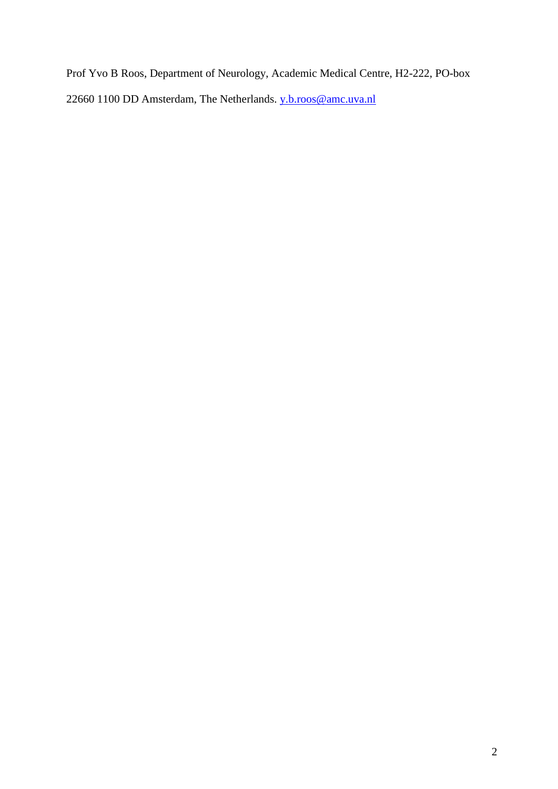Prof Yvo B Roos, Department of Neurology, Academic Medical Centre, H2-222, PO-box 22660 1100 DD Amsterdam, The Netherlands. [y.b.roos@amc.uva.nl](mailto:y.b.roos@amc.uva.nl)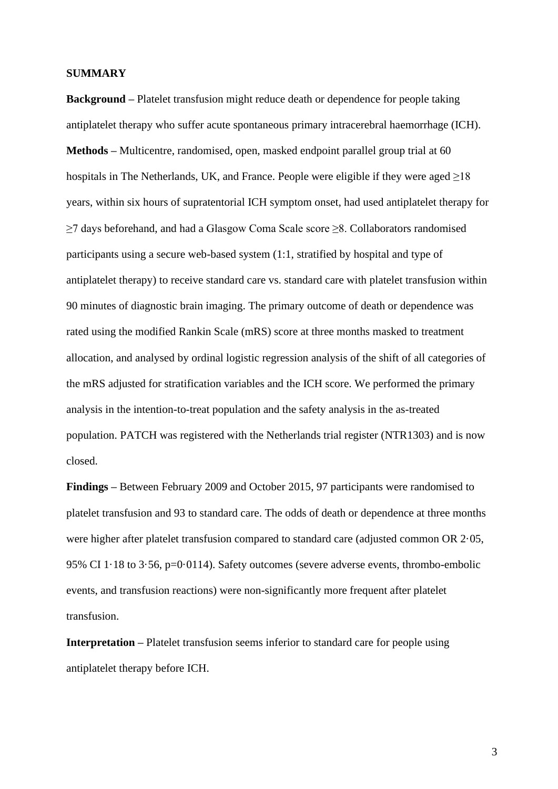#### **SUMMARY**

**Background –** Platelet transfusion might reduce death or dependence for people taking antiplatelet therapy who suffer acute spontaneous primary intracerebral haemorrhage (ICH). **Methods –** Multicentre, randomised, open, masked endpoint parallel group trial at 60 hospitals in The Netherlands, UK, and France. People were eligible if they were aged  $\geq$ 18 years, within six hours of supratentorial ICH symptom onset, had used antiplatelet therapy for ≥7 days beforehand, and had a Glasgow Coma Scale score ≥8. Collaborators randomised participants using a secure web-based system (1:1, stratified by hospital and type of antiplatelet therapy) to receive standard care vs. standard care with platelet transfusion within 90 minutes of diagnostic brain imaging. The primary outcome of death or dependence was rated using the modified Rankin Scale (mRS) score at three months masked to treatment allocation, and analysed by ordinal logistic regression analysis of the shift of all categories of the mRS adjusted for stratification variables and the ICH score. We performed the primary analysis in the intention-to-treat population and the safety analysis in the as-treated population. PATCH was registered with the Netherlands trial register (NTR1303) and is now closed.

**Findings –** Between February 2009 and October 2015, 97 participants were randomised to platelet transfusion and 93 to standard care. The odds of death or dependence at three months were higher after platelet transfusion compared to standard care (adjusted common OR 2·05, 95% CI 1·18 to 3·56, p=0·0114). Safety outcomes (severe adverse events, thrombo-embolic events, and transfusion reactions) were non-significantly more frequent after platelet transfusion.

**Interpretation** – Platelet transfusion seems inferior to standard care for people using antiplatelet therapy before ICH.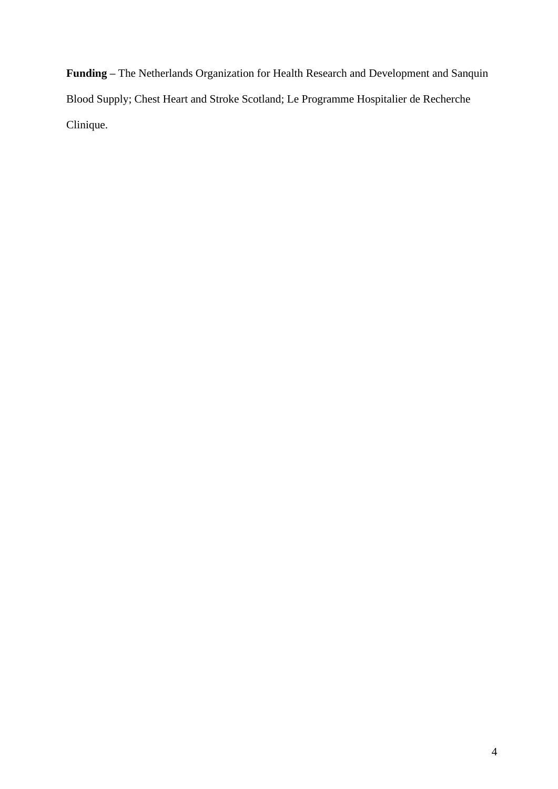**Funding –** The Netherlands Organization for Health Research and Development and Sanquin Blood Supply; Chest Heart and Stroke Scotland; Le Programme Hospitalier de Recherche Clinique.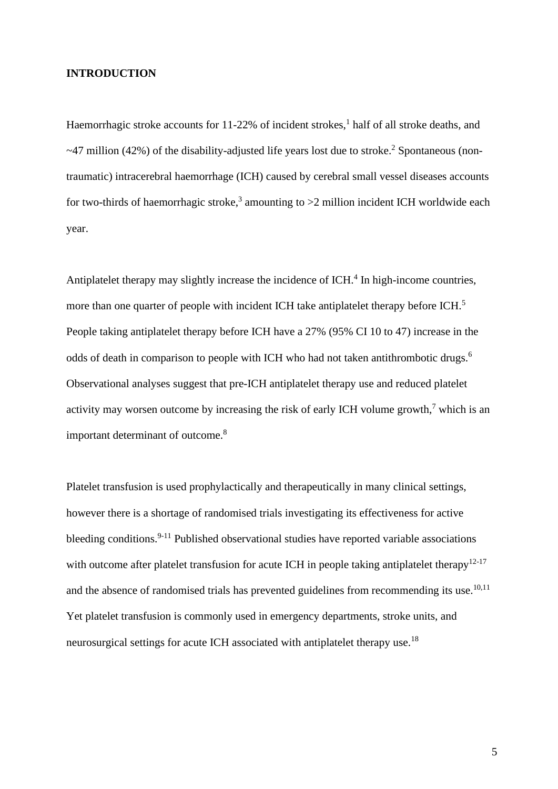## **INTRODUCTION**

Haemorrhagic stroke accounts for 11-22% of incident strokes,<sup>1</sup> half of all stroke deaths, and ~47 million (42%) of the disability-adjusted life years lost due to stroke.<sup>2</sup> Spontaneous (nontraumatic) intracerebral haemorrhage (ICH) caused by cerebral small vessel diseases accounts for two-thirds of haemorrhagic stroke,<sup>3</sup> amounting to  $>2$  million incident ICH worldwide each year.

Antiplatelet therapy may slightly increase the incidence of ICH.<sup>4</sup> In high-income countries, more than one quarter of people with incident ICH take antiplatelet therapy before ICH.<sup>5</sup> People taking antiplatelet therapy before ICH have a 27% (95% CI 10 to 47) increase in the odds of death in comparison to people with ICH who had not taken antithrombotic drugs.<sup>6</sup> Observational analyses suggest that pre-ICH antiplatelet therapy use and reduced platelet activity may worsen outcome by increasing the risk of early ICH volume growth,<sup>7</sup> which is an important determinant of outcome.<sup>8</sup>

Platelet transfusion is used prophylactically and therapeutically in many clinical settings, however there is a shortage of randomised trials investigating its effectiveness for active bleeding conditions.<sup>9-11</sup> Published observational studies have reported variable associations with outcome after platelet transfusion for acute ICH in people taking antiplatelet therapy<sup>12-17</sup> and the absence of randomised trials has prevented guidelines from recommending its use.<sup>10,11</sup> Yet platelet transfusion is commonly used in emergency departments, stroke units, and neurosurgical settings for acute ICH associated with antiplatelet therapy use.<sup>18</sup>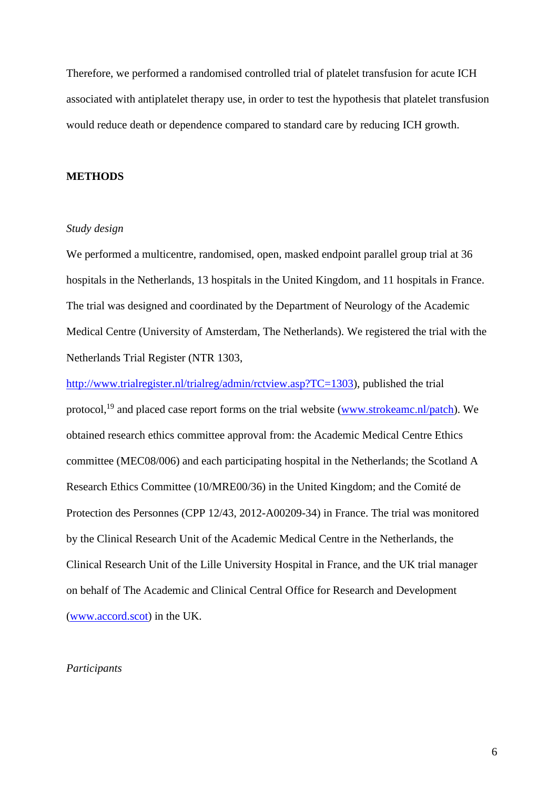Therefore, we performed a randomised controlled trial of platelet transfusion for acute ICH associated with antiplatelet therapy use, in order to test the hypothesis that platelet transfusion would reduce death or dependence compared to standard care by reducing ICH growth.

#### **METHODS**

#### *Study design*

We performed a multicentre, randomised, open, masked endpoint parallel group trial at 36 hospitals in the Netherlands, 13 hospitals in the United Kingdom, and 11 hospitals in France. The trial was designed and coordinated by the Department of Neurology of the Academic Medical Centre (University of Amsterdam, The Netherlands). We registered the trial with the Netherlands Trial Register (NTR 1303,

[http://www.trialregister.nl/trialreg/admin/rctview.asp?TC=1303\)](http://www.trialregister.nl/trialreg/admin/rctview.asp?TC=1303), published the trial protocol,<sup>19</sup> and placed case report forms on the trial website [\(www.strokeamc.nl/patch\)](http://www.strokeamc.nl/patch). We obtained research ethics committee approval from: the Academic Medical Centre Ethics committee (MEC08/006) and each participating hospital in the Netherlands; the Scotland A Research Ethics Committee (10/MRE00/36) in the United Kingdom; and the Comité de Protection des Personnes (CPP 12/43, 2012-A00209-34) in France. The trial was monitored by the Clinical Research Unit of the Academic Medical Centre in the Netherlands, the Clinical Research Unit of the Lille University Hospital in France, and the UK trial manager on behalf of The Academic and Clinical Central Office for Research and Development [\(www.accord.scot\)](http://www.accord.scot/) in the UK.

## *Participants*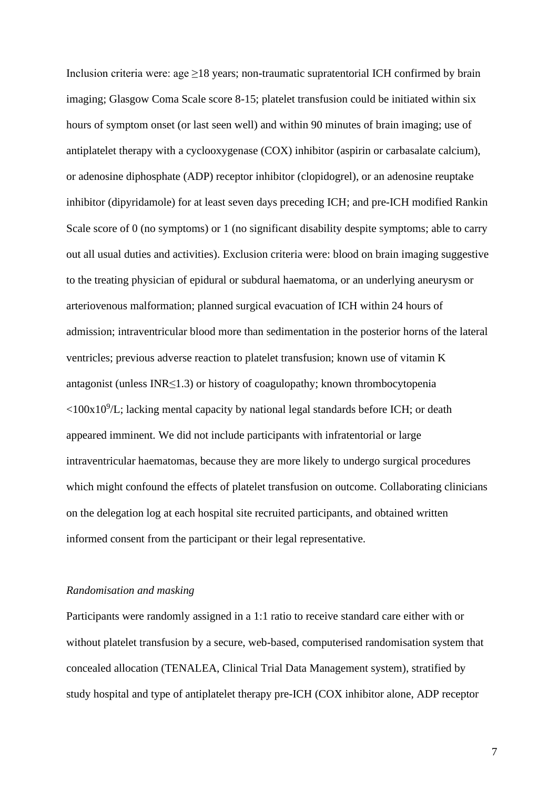Inclusion criteria were: age  $\geq$ 18 years; non-traumatic supratentorial ICH confirmed by brain imaging; Glasgow Coma Scale score 8-15; platelet transfusion could be initiated within six hours of symptom onset (or last seen well) and within 90 minutes of brain imaging; use of antiplatelet therapy with a cyclooxygenase (COX) inhibitor (aspirin or carbasalate calcium), or adenosine diphosphate (ADP) receptor inhibitor (clopidogrel), or an adenosine reuptake inhibitor (dipyridamole) for at least seven days preceding ICH; and pre-ICH modified Rankin Scale score of 0 (no symptoms) or 1 (no significant disability despite symptoms; able to carry out all usual duties and activities). Exclusion criteria were: blood on brain imaging suggestive to the treating physician of epidural or subdural haematoma, or an underlying aneurysm or arteriovenous malformation; planned surgical evacuation of ICH within 24 hours of admission; intraventricular blood more than sedimentation in the posterior horns of the lateral ventricles; previous adverse reaction to platelet transfusion; known use of vitamin K antagonist (unless INR≤1.3) or history of coagulopathy; known thrombocytopenia  $\langle$ 100x10<sup>9</sup>/L; lacking mental capacity by national legal standards before ICH; or death appeared imminent. We did not include participants with infratentorial or large intraventricular haematomas, because they are more likely to undergo surgical procedures which might confound the effects of platelet transfusion on outcome. Collaborating clinicians on the delegation log at each hospital site recruited participants, and obtained written informed consent from the participant or their legal representative.

## *Randomisation and masking*

Participants were randomly assigned in a 1:1 ratio to receive standard care either with or without platelet transfusion by a secure, web-based, computerised randomisation system that concealed allocation (TENALEA, Clinical Trial Data Management system), stratified by study hospital and type of antiplatelet therapy pre-ICH (COX inhibitor alone, ADP receptor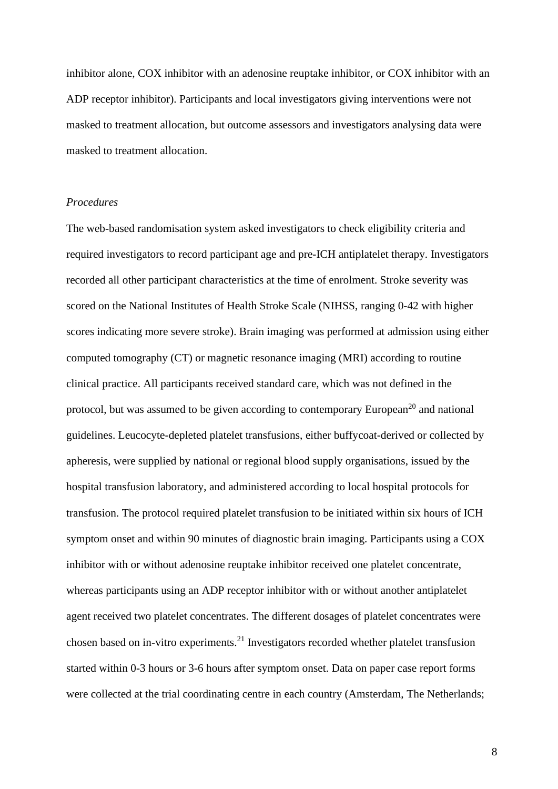inhibitor alone, COX inhibitor with an adenosine reuptake inhibitor, or COX inhibitor with an ADP receptor inhibitor). Participants and local investigators giving interventions were not masked to treatment allocation, but outcome assessors and investigators analysing data were masked to treatment allocation.

#### *Procedures*

The web-based randomisation system asked investigators to check eligibility criteria and required investigators to record participant age and pre-ICH antiplatelet therapy. Investigators recorded all other participant characteristics at the time of enrolment. Stroke severity was scored on the National Institutes of Health Stroke Scale (NIHSS, ranging 0-42 with higher scores indicating more severe stroke). Brain imaging was performed at admission using either computed tomography (CT) or magnetic resonance imaging (MRI) according to routine clinical practice. All participants received standard care, which was not defined in the protocol, but was assumed to be given according to contemporary European<sup>20</sup> and national guidelines. Leucocyte-depleted platelet transfusions, either buffycoat-derived or collected by apheresis, were supplied by national or regional blood supply organisations, issued by the hospital transfusion laboratory, and administered according to local hospital protocols for transfusion. The protocol required platelet transfusion to be initiated within six hours of ICH symptom onset and within 90 minutes of diagnostic brain imaging. Participants using a COX inhibitor with or without adenosine reuptake inhibitor received one platelet concentrate, whereas participants using an ADP receptor inhibitor with or without another antiplatelet agent received two platelet concentrates. The different dosages of platelet concentrates were chosen based on in-vitro experiments. <sup>21</sup> Investigators recorded whether platelet transfusion started within 0-3 hours or 3-6 hours after symptom onset. Data on paper case report forms were collected at the trial coordinating centre in each country (Amsterdam, The Netherlands;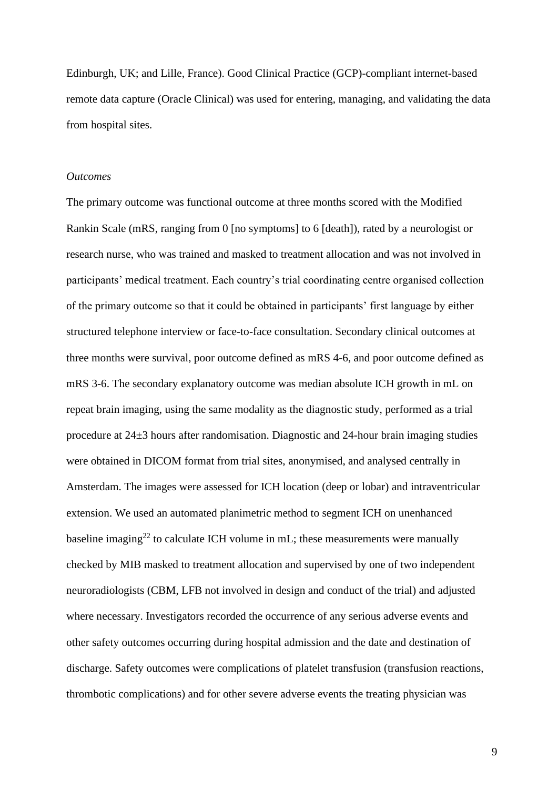Edinburgh, UK; and Lille, France). Good Clinical Practice (GCP)-compliant internet-based remote data capture (Oracle Clinical) was used for entering, managing, and validating the data from hospital sites.

#### *Outcomes*

The primary outcome was functional outcome at three months scored with the Modified Rankin Scale (mRS, ranging from 0 [no symptoms] to 6 [death]), rated by a neurologist or research nurse, who was trained and masked to treatment allocation and was not involved in participants' medical treatment. Each country's trial coordinating centre organised collection of the primary outcome so that it could be obtained in participants' first language by either structured telephone interview or face-to-face consultation. Secondary clinical outcomes at three months were survival, poor outcome defined as mRS 4-6, and poor outcome defined as mRS 3-6. The secondary explanatory outcome was median absolute ICH growth in mL on repeat brain imaging, using the same modality as the diagnostic study, performed as a trial procedure at 24±3 hours after randomisation. Diagnostic and 24-hour brain imaging studies were obtained in DICOM format from trial sites, anonymised, and analysed centrally in Amsterdam. The images were assessed for ICH location (deep or lobar) and intraventricular extension. We used an automated planimetric method to segment ICH on unenhanced baseline imaging<sup>22</sup> to calculate ICH volume in mL; these measurements were manually checked by MIB masked to treatment allocation and supervised by one of two independent neuroradiologists (CBM, LFB not involved in design and conduct of the trial) and adjusted where necessary. Investigators recorded the occurrence of any serious adverse events and other safety outcomes occurring during hospital admission and the date and destination of discharge. Safety outcomes were complications of platelet transfusion (transfusion reactions, thrombotic complications) and for other severe adverse events the treating physician was

9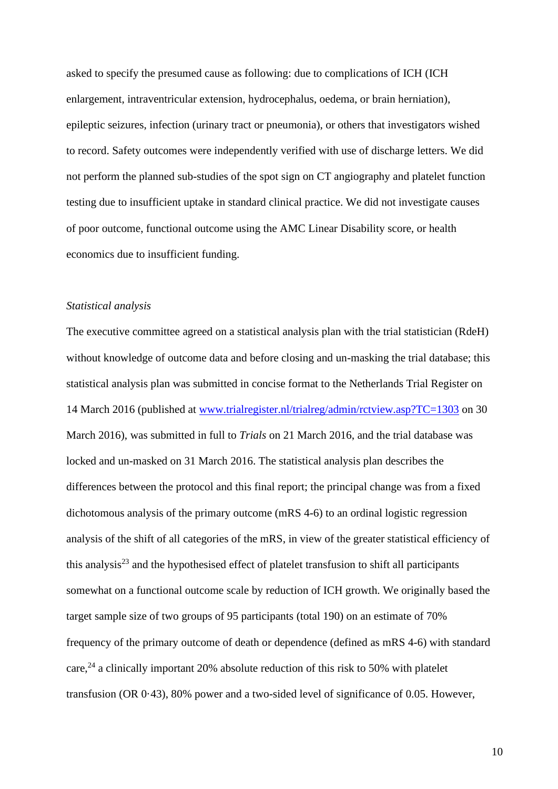asked to specify the presumed cause as following: due to complications of ICH (ICH enlargement, intraventricular extension, hydrocephalus, oedema, or brain herniation), epileptic seizures, infection (urinary tract or pneumonia), or others that investigators wished to record. Safety outcomes were independently verified with use of discharge letters. We did not perform the planned sub-studies of the spot sign on CT angiography and platelet function testing due to insufficient uptake in standard clinical practice. We did not investigate causes of poor outcome, functional outcome using the AMC Linear Disability score, or health economics due to insufficient funding.

### *Statistical analysis*

The executive committee agreed on a statistical analysis plan with the trial statistician (RdeH) without knowledge of outcome data and before closing and un-masking the trial database; this statistical analysis plan was submitted in concise format to the Netherlands Trial Register on 14 March 2016 (published at [www.trialregister.nl/trialreg/admin/rctview.asp?TC=1303](http://www.trialregister.nl/trialreg/admin/rctview.asp?TC=1303) on 30 March 2016), was submitted in full to *Trials* on 21 March 2016, and the trial database was locked and un-masked on 31 March 2016. The statistical analysis plan describes the differences between the protocol and this final report; the principal change was from a fixed dichotomous analysis of the primary outcome (mRS 4-6) to an ordinal logistic regression analysis of the shift of all categories of the mRS, in view of the greater statistical efficiency of this analysis<sup>23</sup> and the hypothesised effect of platelet transfusion to shift all participants somewhat on a functional outcome scale by reduction of ICH growth. We originally based the target sample size of two groups of 95 participants (total 190) on an estimate of 70% frequency of the primary outcome of death or dependence (defined as mRS 4-6) with standard care,<sup>24</sup> a clinically important 20% absolute reduction of this risk to 50% with platelet transfusion (OR 0·43), 80% power and a two-sided level of significance of 0.05. However,

10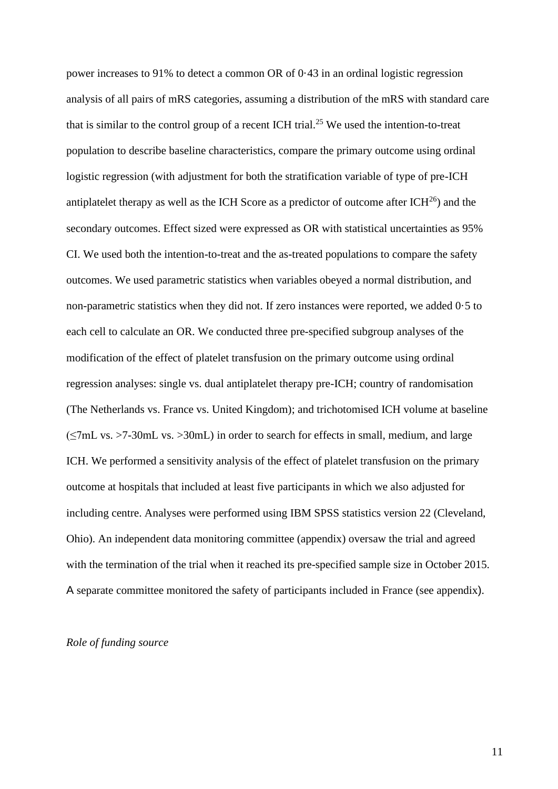power increases to 91% to detect a common OR of 0·43 in an ordinal logistic regression analysis of all pairs of mRS categories, assuming a distribution of the mRS with standard care that is similar to the control group of a recent ICH trial.<sup>25</sup> We used the intention-to-treat population to describe baseline characteristics, compare the primary outcome using ordinal logistic regression (with adjustment for both the stratification variable of type of pre-ICH antiplatelet therapy as well as the ICH Score as a predictor of outcome after  $ICH<sup>26</sup>$ ) and the secondary outcomes. Effect sized were expressed as OR with statistical uncertainties as 95% CI. We used both the intention-to-treat and the as-treated populations to compare the safety outcomes. We used parametric statistics when variables obeyed a normal distribution, and non-parametric statistics when they did not. If zero instances were reported, we added 0·5 to each cell to calculate an OR. We conducted three pre-specified subgroup analyses of the modification of the effect of platelet transfusion on the primary outcome using ordinal regression analyses: single vs. dual antiplatelet therapy pre-ICH; country of randomisation (The Netherlands vs. France vs. United Kingdom); and trichotomised ICH volume at baseline (≤7mL vs. >7-30mL vs. >30mL) in order to search for effects in small, medium, and large ICH. We performed a sensitivity analysis of the effect of platelet transfusion on the primary outcome at hospitals that included at least five participants in which we also adjusted for including centre. Analyses were performed using IBM SPSS statistics version 22 (Cleveland, Ohio). An independent data monitoring committee (appendix) oversaw the trial and agreed with the termination of the trial when it reached its pre-specified sample size in October 2015. A separate committee monitored the safety of participants included in France (see appendix).

## *Role of funding source*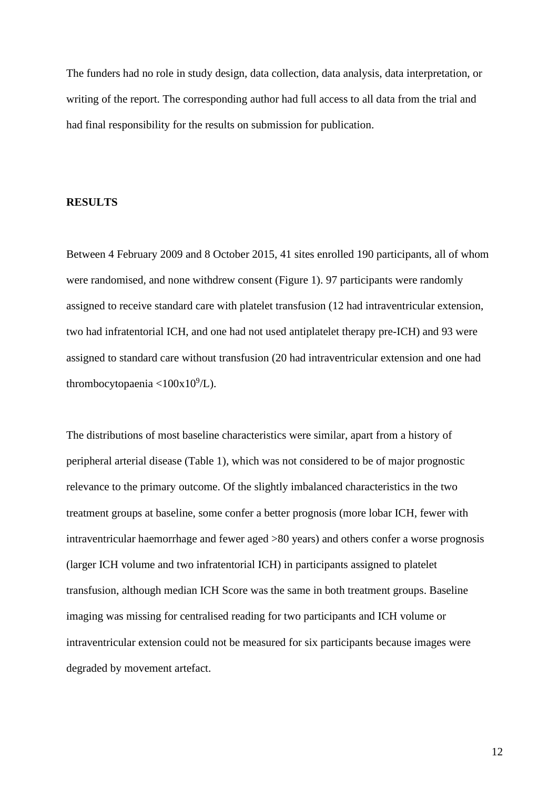The funders had no role in study design, data collection, data analysis, data interpretation, or writing of the report. The corresponding author had full access to all data from the trial and had final responsibility for the results on submission for publication.

#### **RESULTS**

Between 4 February 2009 and 8 October 2015, 41 sites enrolled 190 participants, all of whom were randomised, and none withdrew consent (Figure 1). 97 participants were randomly assigned to receive standard care with platelet transfusion (12 had intraventricular extension, two had infratentorial ICH, and one had not used antiplatelet therapy pre-ICH) and 93 were assigned to standard care without transfusion (20 had intraventricular extension and one had thrombocytopaenia < $100x10^9/L$ ).

The distributions of most baseline characteristics were similar, apart from a history of peripheral arterial disease (Table 1), which was not considered to be of major prognostic relevance to the primary outcome. Of the slightly imbalanced characteristics in the two treatment groups at baseline, some confer a better prognosis (more lobar ICH, fewer with intraventricular haemorrhage and fewer aged >80 years) and others confer a worse prognosis (larger ICH volume and two infratentorial ICH) in participants assigned to platelet transfusion, although median ICH Score was the same in both treatment groups. Baseline imaging was missing for centralised reading for two participants and ICH volume or intraventricular extension could not be measured for six participants because images were degraded by movement artefact.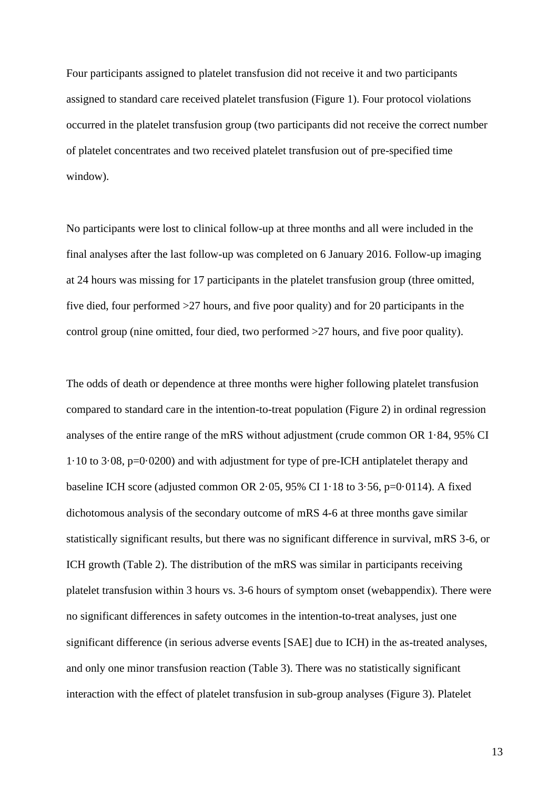Four participants assigned to platelet transfusion did not receive it and two participants assigned to standard care received platelet transfusion (Figure 1). Four protocol violations occurred in the platelet transfusion group (two participants did not receive the correct number of platelet concentrates and two received platelet transfusion out of pre-specified time window).

No participants were lost to clinical follow-up at three months and all were included in the final analyses after the last follow-up was completed on 6 January 2016. Follow-up imaging at 24 hours was missing for 17 participants in the platelet transfusion group (three omitted, five died, four performed >27 hours, and five poor quality) and for 20 participants in the control group (nine omitted, four died, two performed >27 hours, and five poor quality).

The odds of death or dependence at three months were higher following platelet transfusion compared to standard care in the intention-to-treat population (Figure 2) in ordinal regression analyses of the entire range of the mRS without adjustment (crude common OR 1·84, 95% CI 1·10 to 3·08, p=0·0200) and with adjustment for type of pre-ICH antiplatelet therapy and baseline ICH score (adjusted common OR  $2.05$ ,  $95\%$  CI  $1.18$  to  $3.56$ ,  $p=0.0114$ ). A fixed dichotomous analysis of the secondary outcome of mRS 4-6 at three months gave similar statistically significant results, but there was no significant difference in survival, mRS 3-6, or ICH growth (Table 2). The distribution of the mRS was similar in participants receiving platelet transfusion within 3 hours vs. 3-6 hours of symptom onset (webappendix). There were no significant differences in safety outcomes in the intention-to-treat analyses, just one significant difference (in serious adverse events [SAE] due to ICH) in the as-treated analyses, and only one minor transfusion reaction (Table 3). There was no statistically significant interaction with the effect of platelet transfusion in sub-group analyses (Figure 3). Platelet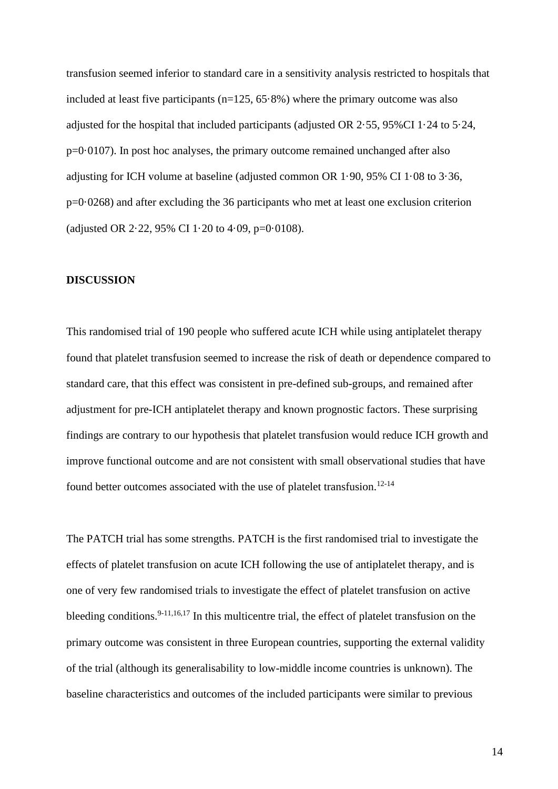transfusion seemed inferior to standard care in a sensitivity analysis restricted to hospitals that included at least five participants ( $n=125, 65.8\%$ ) where the primary outcome was also adjusted for the hospital that included participants (adjusted OR 2·55, 95%CI 1·24 to 5·24, p=0·0107). In post hoc analyses, the primary outcome remained unchanged after also adjusting for ICH volume at baseline (adjusted common OR 1·90, 95% CI 1·08 to 3·36, p=0·0268) and after excluding the 36 participants who met at least one exclusion criterion (adjusted OR 2.22, 95% CI 1.20 to 4.09, p=0.0108).

#### **DISCUSSION**

This randomised trial of 190 people who suffered acute ICH while using antiplatelet therapy found that platelet transfusion seemed to increase the risk of death or dependence compared to standard care, that this effect was consistent in pre-defined sub-groups, and remained after adjustment for pre-ICH antiplatelet therapy and known prognostic factors. These surprising findings are contrary to our hypothesis that platelet transfusion would reduce ICH growth and improve functional outcome and are not consistent with small observational studies that have found better outcomes associated with the use of platelet transfusion.<sup>12-14</sup>

The PATCH trial has some strengths. PATCH is the first randomised trial to investigate the effects of platelet transfusion on acute ICH following the use of antiplatelet therapy, and is one of very few randomised trials to investigate the effect of platelet transfusion on active bleeding conditions.<sup>9-11,16,17</sup> In this multicentre trial, the effect of platelet transfusion on the primary outcome was consistent in three European countries, supporting the external validity of the trial (although its generalisability to low-middle income countries is unknown). The baseline characteristics and outcomes of the included participants were similar to previous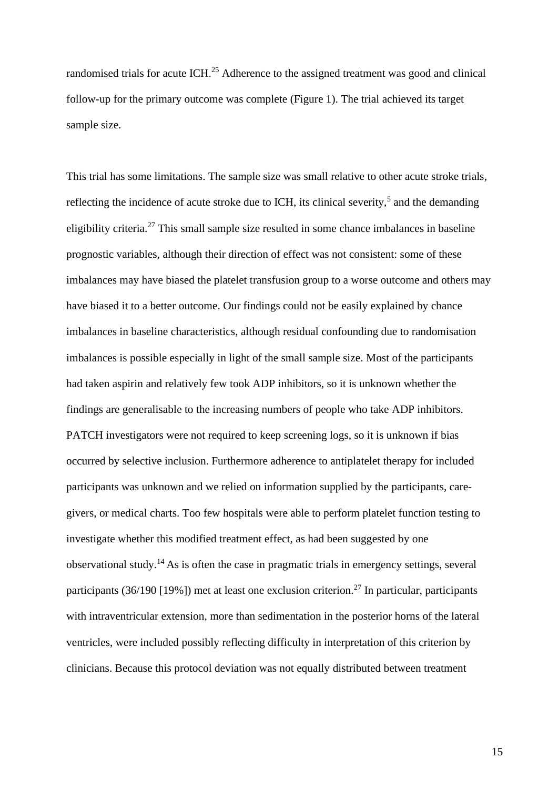randomised trials for acute ICH.<sup>25</sup> Adherence to the assigned treatment was good and clinical follow-up for the primary outcome was complete (Figure 1). The trial achieved its target sample size.

This trial has some limitations. The sample size was small relative to other acute stroke trials, reflecting the incidence of acute stroke due to ICH, its clinical severity,<sup>5</sup> and the demanding eligibility criteria.<sup>27</sup> This small sample size resulted in some chance imbalances in baseline prognostic variables, although their direction of effect was not consistent: some of these imbalances may have biased the platelet transfusion group to a worse outcome and others may have biased it to a better outcome. Our findings could not be easily explained by chance imbalances in baseline characteristics, although residual confounding due to randomisation imbalances is possible especially in light of the small sample size. Most of the participants had taken aspirin and relatively few took ADP inhibitors, so it is unknown whether the findings are generalisable to the increasing numbers of people who take ADP inhibitors. PATCH investigators were not required to keep screening logs, so it is unknown if bias occurred by selective inclusion. Furthermore adherence to antiplatelet therapy for included participants was unknown and we relied on information supplied by the participants, caregivers, or medical charts. Too few hospitals were able to perform platelet function testing to investigate whether this modified treatment effect, as had been suggested by one observational study.<sup>14</sup> As is often the case in pragmatic trials in emergency settings, several participants (36/190 [19%]) met at least one exclusion criterion.<sup>27</sup> In particular, participants with intraventricular extension, more than sedimentation in the posterior horns of the lateral ventricles, were included possibly reflecting difficulty in interpretation of this criterion by clinicians. Because this protocol deviation was not equally distributed between treatment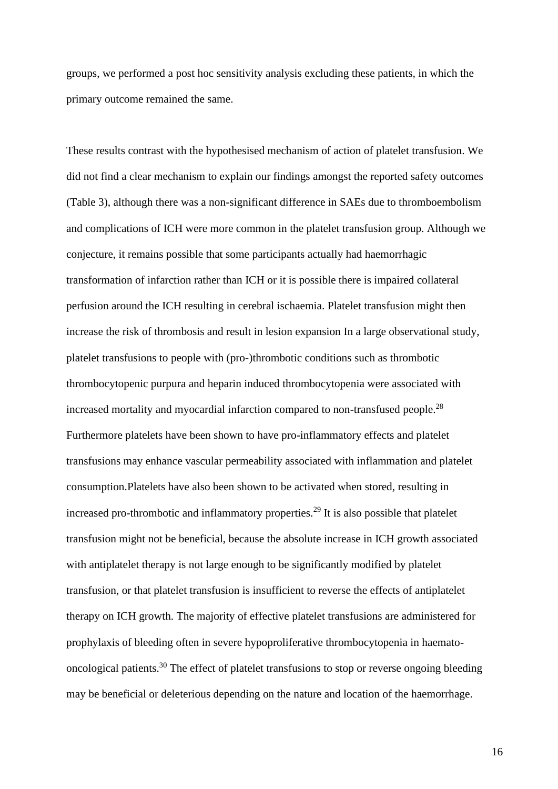groups, we performed a post hoc sensitivity analysis excluding these patients, in which the primary outcome remained the same.

These results contrast with the hypothesised mechanism of action of platelet transfusion. We did not find a clear mechanism to explain our findings amongst the reported safety outcomes (Table 3), although there was a non-significant difference in SAEs due to thromboembolism and complications of ICH were more common in the platelet transfusion group. Although we conjecture, it remains possible that some participants actually had haemorrhagic transformation of infarction rather than ICH or it is possible there is impaired collateral perfusion around the ICH resulting in cerebral ischaemia. Platelet transfusion might then increase the risk of thrombosis and result in lesion expansion In a large observational study, platelet transfusions to people with (pro-)thrombotic conditions such as thrombotic thrombocytopenic purpura and heparin induced thrombocytopenia were associated with increased mortality and myocardial infarction compared to non-transfused people.<sup>28</sup> Furthermore platelets have been shown to have pro-inflammatory effects and platelet transfusions may enhance vascular permeability associated with inflammation and platelet consumption.Platelets have also been shown to be activated when stored, resulting in increased pro-thrombotic and inflammatory properties.<sup>29</sup> It is also possible that platelet transfusion might not be beneficial, because the absolute increase in ICH growth associated with antiplatelet therapy is not large enough to be significantly modified by platelet transfusion, or that platelet transfusion is insufficient to reverse the effects of antiplatelet therapy on ICH growth. The majority of effective platelet transfusions are administered for prophylaxis of bleeding often in severe hypoproliferative thrombocytopenia in haematooncological patients.<sup>30</sup> The effect of platelet transfusions to stop or reverse ongoing bleeding may be beneficial or deleterious depending on the nature and location of the haemorrhage.

16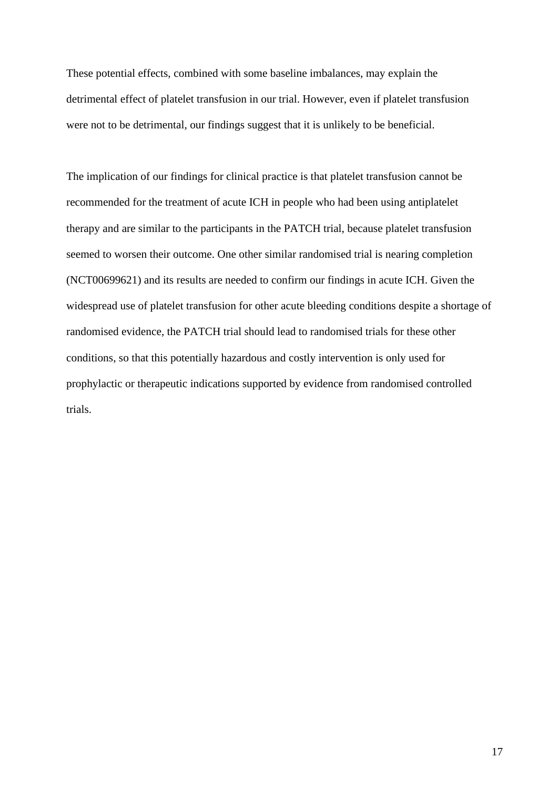These potential effects, combined with some baseline imbalances, may explain the detrimental effect of platelet transfusion in our trial. However, even if platelet transfusion were not to be detrimental, our findings suggest that it is unlikely to be beneficial.

The implication of our findings for clinical practice is that platelet transfusion cannot be recommended for the treatment of acute ICH in people who had been using antiplatelet therapy and are similar to the participants in the PATCH trial, because platelet transfusion seemed to worsen their outcome. One other similar randomised trial is nearing completion (NCT00699621) and its results are needed to confirm our findings in acute ICH. Given the widespread use of platelet transfusion for other acute bleeding conditions despite a shortage of randomised evidence, the PATCH trial should lead to randomised trials for these other conditions, so that this potentially hazardous and costly intervention is only used for prophylactic or therapeutic indications supported by evidence from randomised controlled trials.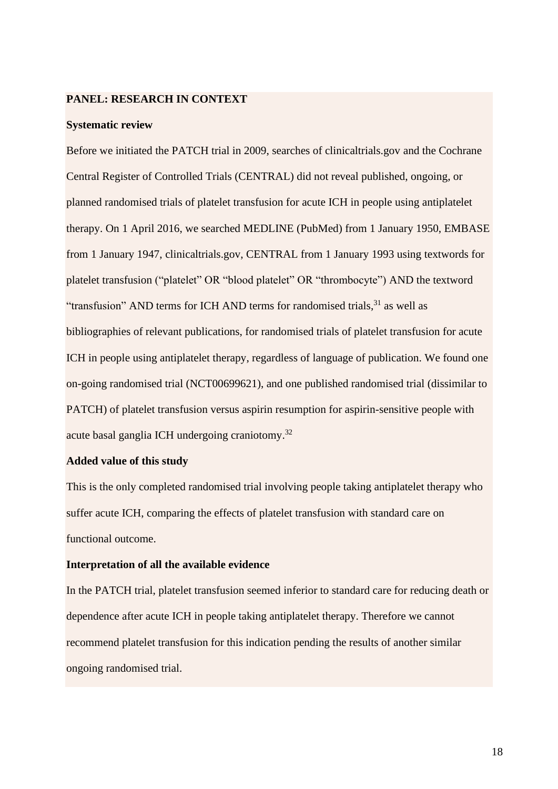## **PANEL: RESEARCH IN CONTEXT**

#### **Systematic review**

Before we initiated the PATCH trial in 2009, searches of clinicaltrials.gov and the Cochrane Central Register of Controlled Trials (CENTRAL) did not reveal published, ongoing, or planned randomised trials of platelet transfusion for acute ICH in people using antiplatelet therapy. On 1 April 2016, we searched MEDLINE (PubMed) from 1 January 1950, EMBASE from 1 January 1947, clinicaltrials.gov, CENTRAL from 1 January 1993 using textwords for platelet transfusion ("platelet" OR "blood platelet" OR "thrombocyte") AND the textword "transfusion" AND terms for ICH AND terms for randomised trials,<sup>31</sup> as well as bibliographies of relevant publications, for randomised trials of platelet transfusion for acute ICH in people using antiplatelet therapy, regardless of language of publication. We found one on-going randomised trial (NCT00699621), and one published randomised trial (dissimilar to PATCH) of platelet transfusion versus aspirin resumption for aspirin-sensitive people with acute basal ganglia ICH undergoing craniotomy.<sup>32</sup>

## **Added value of this study**

This is the only completed randomised trial involving people taking antiplatelet therapy who suffer acute ICH, comparing the effects of platelet transfusion with standard care on functional outcome.

#### **Interpretation of all the available evidence**

In the PATCH trial, platelet transfusion seemed inferior to standard care for reducing death or dependence after acute ICH in people taking antiplatelet therapy. Therefore we cannot recommend platelet transfusion for this indication pending the results of another similar ongoing randomised trial.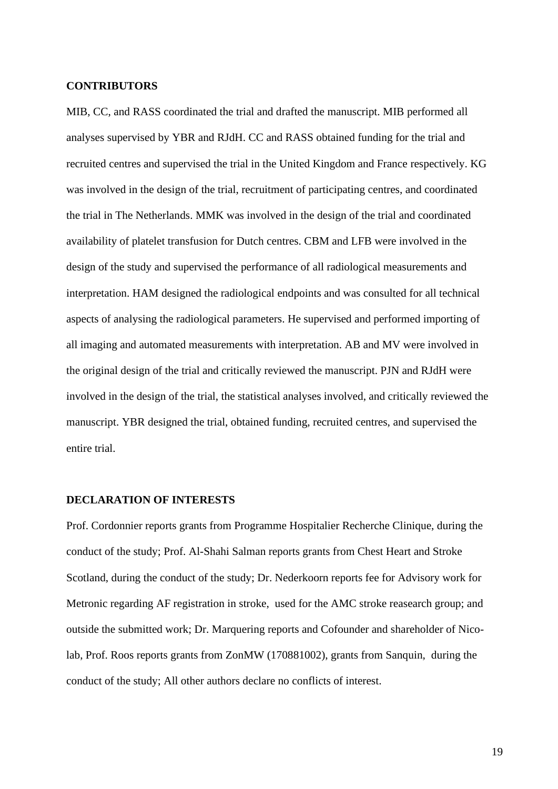## **CONTRIBUTORS**

MIB, CC, and RASS coordinated the trial and drafted the manuscript. MIB performed all analyses supervised by YBR and RJdH. CC and RASS obtained funding for the trial and recruited centres and supervised the trial in the United Kingdom and France respectively. KG was involved in the design of the trial, recruitment of participating centres, and coordinated the trial in The Netherlands. MMK was involved in the design of the trial and coordinated availability of platelet transfusion for Dutch centres. CBM and LFB were involved in the design of the study and supervised the performance of all radiological measurements and interpretation. HAM designed the radiological endpoints and was consulted for all technical aspects of analysing the radiological parameters. He supervised and performed importing of all imaging and automated measurements with interpretation. AB and MV were involved in the original design of the trial and critically reviewed the manuscript. PJN and RJdH were involved in the design of the trial, the statistical analyses involved, and critically reviewed the manuscript. YBR designed the trial, obtained funding, recruited centres, and supervised the entire trial.

## **DECLARATION OF INTERESTS**

Prof. Cordonnier reports grants from Programme Hospitalier Recherche Clinique, during the conduct of the study; Prof. Al-Shahi Salman reports grants from Chest Heart and Stroke Scotland, during the conduct of the study; Dr. Nederkoorn reports fee for Advisory work for Metronic regarding AF registration in stroke, used for the AMC stroke reasearch group; and outside the submitted work; Dr. Marquering reports and Cofounder and shareholder of Nicolab, Prof. Roos reports grants from ZonMW (170881002), grants from Sanquin, during the conduct of the study; All other authors declare no conflicts of interest.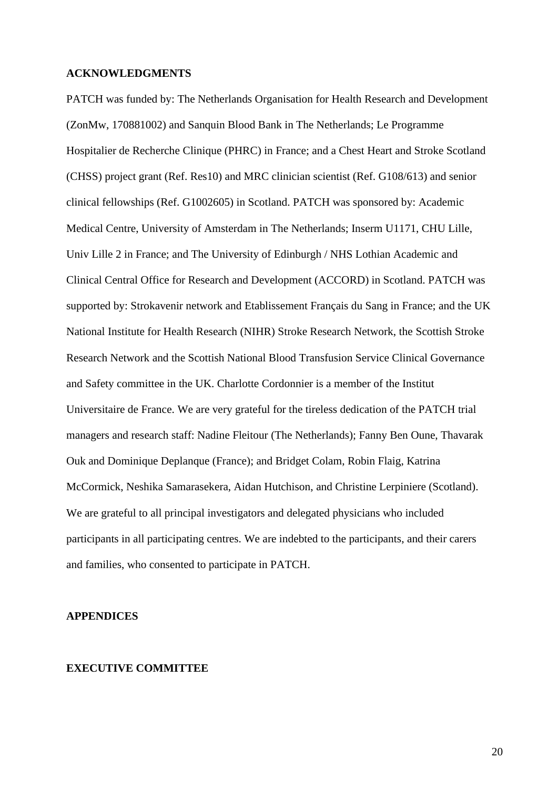#### **ACKNOWLEDGMENTS**

PATCH was funded by: The Netherlands Organisation for Health Research and Development (ZonMw, 170881002) and Sanquin Blood Bank in The Netherlands; Le Programme Hospitalier de Recherche Clinique (PHRC) in France; and a Chest Heart and Stroke Scotland (CHSS) project grant (Ref. Res10) and MRC clinician scientist (Ref. G108/613) and senior clinical fellowships (Ref. G1002605) in Scotland. PATCH was sponsored by: Academic Medical Centre, University of Amsterdam in The Netherlands; Inserm U1171, CHU Lille, Univ Lille 2 in France; and The University of Edinburgh / NHS Lothian Academic and Clinical Central Office for Research and Development (ACCORD) in Scotland. PATCH was supported by: Strokavenir network and Etablissement Français du Sang in France; and the UK National Institute for Health Research (NIHR) Stroke Research Network, the Scottish Stroke Research Network and the Scottish National Blood Transfusion Service Clinical Governance and Safety committee in the UK. Charlotte Cordonnier is a member of the Institut Universitaire de France. We are very grateful for the tireless dedication of the PATCH trial managers and research staff: Nadine Fleitour (The Netherlands); Fanny Ben Oune, Thavarak Ouk and Dominique Deplanque (France); and Bridget Colam, Robin Flaig, Katrina McCormick, Neshika Samarasekera, Aidan Hutchison, and Christine Lerpiniere (Scotland). We are grateful to all principal investigators and delegated physicians who included participants in all participating centres. We are indebted to the participants, and their carers and families, who consented to participate in PATCH.

## **APPENDICES**

#### **EXECUTIVE COMMITTEE**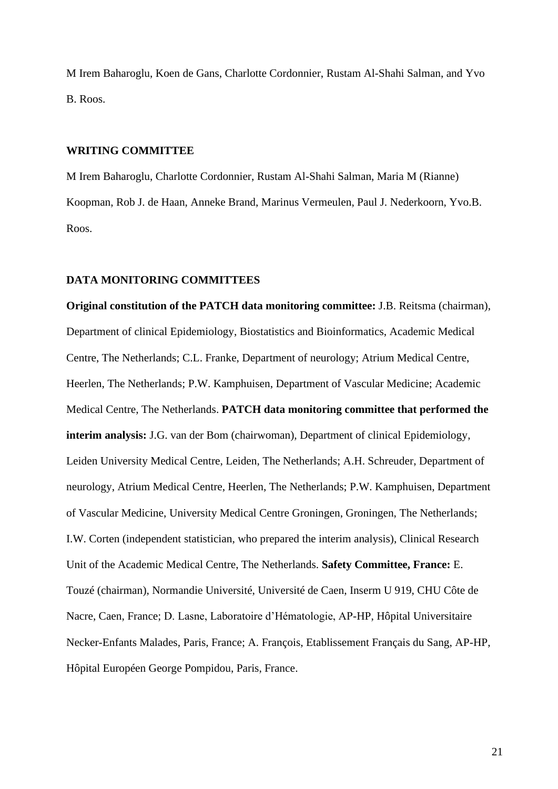M Irem Baharoglu, Koen de Gans, Charlotte Cordonnier, Rustam Al-Shahi Salman, and Yvo B. Roos.

## **WRITING COMMITTEE**

M Irem Baharoglu, Charlotte Cordonnier, Rustam Al-Shahi Salman, Maria M (Rianne) Koopman, Rob J. de Haan, Anneke Brand, Marinus Vermeulen, Paul J. Nederkoorn, Yvo.B. Roos.

#### **DATA MONITORING COMMITTEES**

**Original constitution of the PATCH data monitoring committee:** J.B. Reitsma (chairman), Department of clinical Epidemiology, Biostatistics and Bioinformatics, Academic Medical Centre, The Netherlands; C.L. Franke, Department of neurology; Atrium Medical Centre, Heerlen, The Netherlands; P.W. Kamphuisen, Department of Vascular Medicine; Academic Medical Centre, The Netherlands. **PATCH data monitoring committee that performed the interim analysis:** J.G. van der Bom (chairwoman), Department of clinical Epidemiology, Leiden University Medical Centre, Leiden, The Netherlands; A.H. Schreuder, Department of neurology, Atrium Medical Centre, Heerlen, The Netherlands; P.W. Kamphuisen, Department of Vascular Medicine, University Medical Centre Groningen, Groningen, The Netherlands; I.W. Corten (independent statistician, who prepared the interim analysis), Clinical Research Unit of the Academic Medical Centre, The Netherlands. **Safety Committee, France:** E. Touzé (chairman), Normandie Université, Université de Caen, Inserm U 919, CHU Côte de Nacre, Caen, France; D. Lasne, Laboratoire d'Hématologie, AP-HP, Hôpital Universitaire Necker-Enfants Malades, Paris, France; A. François, Etablissement Français du Sang, AP-HP, Hôpital Européen George Pompidou, Paris, France.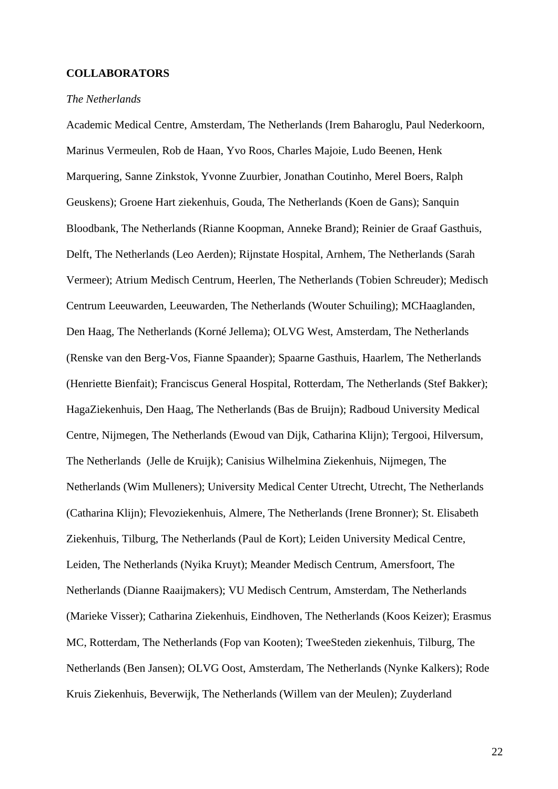#### **COLLABORATORS**

## *The Netherlands*

Academic Medical Centre, Amsterdam, The Netherlands (Irem Baharoglu, Paul Nederkoorn, Marinus Vermeulen, Rob de Haan, Yvo Roos, Charles Majoie, Ludo Beenen, Henk Marquering, Sanne Zinkstok, Yvonne Zuurbier, Jonathan Coutinho, Merel Boers, Ralph Geuskens); Groene Hart ziekenhuis, Gouda, The Netherlands (Koen de Gans); Sanquin Bloodbank, The Netherlands (Rianne Koopman, Anneke Brand); Reinier de Graaf Gasthuis, Delft, The Netherlands (Leo Aerden); Rijnstate Hospital, Arnhem, The Netherlands (Sarah Vermeer); Atrium Medisch Centrum, Heerlen, The Netherlands (Tobien Schreuder); Medisch Centrum Leeuwarden, Leeuwarden, The Netherlands (Wouter Schuiling); MCHaaglanden, Den Haag, The Netherlands (Korné Jellema); OLVG West, Amsterdam, The Netherlands (Renske van den Berg-Vos, Fianne Spaander); Spaarne Gasthuis, Haarlem, The Netherlands (Henriette Bienfait); Franciscus General Hospital, Rotterdam, The Netherlands (Stef Bakker); HagaZiekenhuis, Den Haag, The Netherlands (Bas de Bruijn); Radboud University Medical Centre, Nijmegen, The Netherlands (Ewoud van Dijk, Catharina Klijn); Tergooi, Hilversum, The Netherlands (Jelle de Kruijk); Canisius Wilhelmina Ziekenhuis, Nijmegen, The Netherlands (Wim Mulleners); University Medical Center Utrecht, Utrecht, The Netherlands (Catharina Klijn); Flevoziekenhuis, Almere, The Netherlands (Irene Bronner); St. Elisabeth Ziekenhuis, Tilburg, The Netherlands (Paul de Kort); Leiden University Medical Centre, Leiden, The Netherlands (Nyika Kruyt); Meander Medisch Centrum, Amersfoort, The Netherlands (Dianne Raaijmakers); VU Medisch Centrum, Amsterdam, The Netherlands (Marieke Visser); Catharina Ziekenhuis, Eindhoven, The Netherlands (Koos Keizer); Erasmus MC, Rotterdam, The Netherlands (Fop van Kooten); TweeSteden ziekenhuis, Tilburg, The Netherlands (Ben Jansen); OLVG Oost, Amsterdam, The Netherlands (Nynke Kalkers); Rode Kruis Ziekenhuis, Beverwijk, The Netherlands (Willem van der Meulen); Zuyderland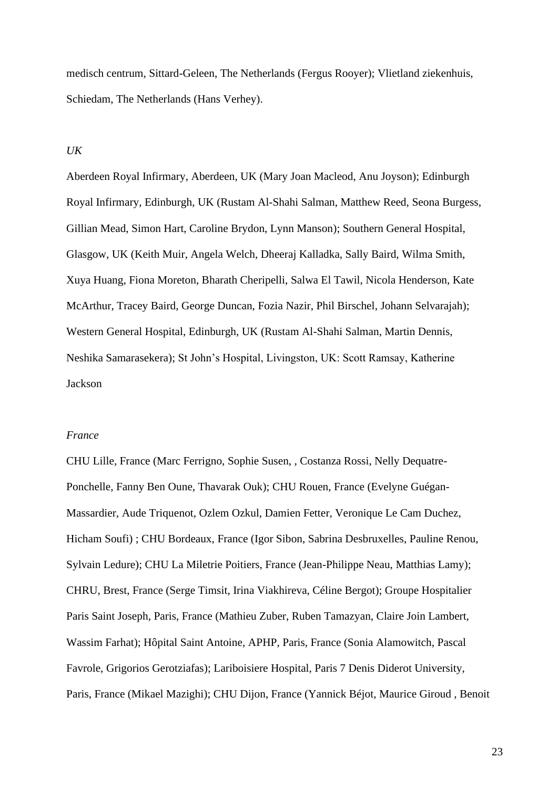medisch centrum, Sittard-Geleen, The Netherlands (Fergus Rooyer); Vlietland ziekenhuis, Schiedam, The Netherlands (Hans Verhey).

## *UK*

Aberdeen Royal Infirmary, Aberdeen, UK (Mary Joan Macleod, Anu Joyson); Edinburgh Royal Infirmary, Edinburgh, UK (Rustam Al-Shahi Salman, Matthew Reed, Seona Burgess, Gillian Mead, Simon Hart, Caroline Brydon, Lynn Manson); Southern General Hospital, Glasgow, UK (Keith Muir, Angela Welch, Dheeraj Kalladka, Sally Baird, Wilma Smith, Xuya Huang, Fiona Moreton, Bharath Cheripelli, Salwa El Tawil, Nicola Henderson, Kate McArthur, Tracey Baird, George Duncan, Fozia Nazir, Phil Birschel, Johann Selvarajah); Western General Hospital, Edinburgh, UK (Rustam Al-Shahi Salman, Martin Dennis, Neshika Samarasekera); St John's Hospital, Livingston, UK: Scott Ramsay, Katherine Jackson

## *France*

CHU Lille, France (Marc Ferrigno, Sophie Susen, , Costanza Rossi, Nelly Dequatre-Ponchelle, Fanny Ben Oune, Thavarak Ouk); CHU Rouen, France (Evelyne Guégan-Massardier, Aude Triquenot, Ozlem Ozkul, Damien Fetter, Veronique Le Cam Duchez, Hicham Soufi) ; CHU Bordeaux, France (Igor Sibon, Sabrina Desbruxelles, Pauline Renou, Sylvain Ledure); CHU La Miletrie Poitiers, France (Jean-Philippe Neau, Matthias Lamy); CHRU, Brest, France (Serge Timsit, Irina Viakhireva, Céline Bergot); Groupe Hospitalier Paris Saint Joseph, Paris, France (Mathieu Zuber, Ruben Tamazyan, Claire Join Lambert, Wassim Farhat); Hôpital Saint Antoine, APHP, Paris, France (Sonia Alamowitch, Pascal Favrole, Grigorios Gerotziafas); Lariboisiere Hospital, Paris 7 Denis Diderot University, Paris, France (Mikael Mazighi); CHU Dijon, France (Yannick Béjot, Maurice Giroud , Benoit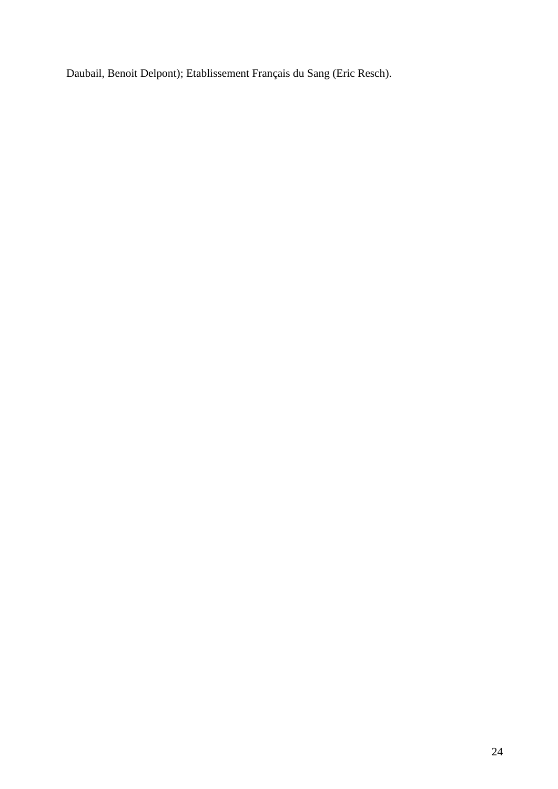Daubail, Benoit Delpont); Etablissement Français du Sang (Eric Resch).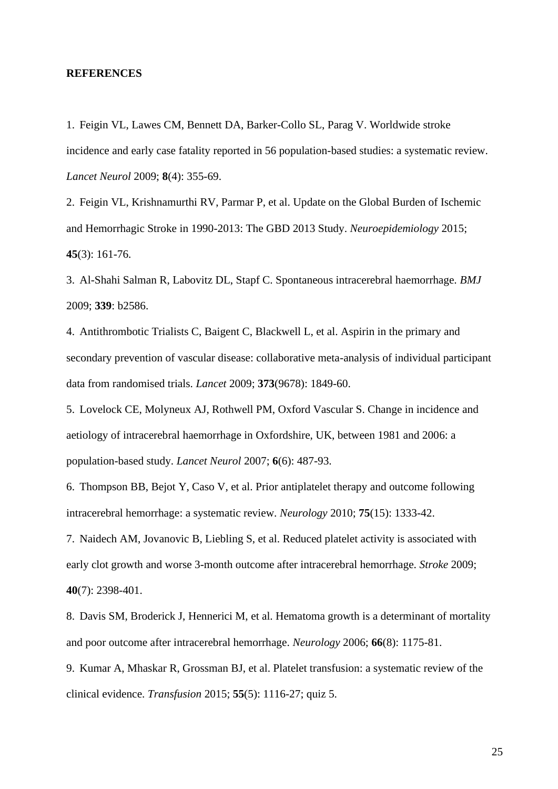#### **REFERENCES**

1. Feigin VL, Lawes CM, Bennett DA, Barker-Collo SL, Parag V. Worldwide stroke incidence and early case fatality reported in 56 population-based studies: a systematic review. *Lancet Neurol* 2009; **8**(4): 355-69.

2. Feigin VL, Krishnamurthi RV, Parmar P, et al. Update on the Global Burden of Ischemic and Hemorrhagic Stroke in 1990-2013: The GBD 2013 Study. *Neuroepidemiology* 2015; **45**(3): 161-76.

3. Al-Shahi Salman R, Labovitz DL, Stapf C. Spontaneous intracerebral haemorrhage. *BMJ* 2009; **339**: b2586.

4. Antithrombotic Trialists C, Baigent C, Blackwell L, et al. Aspirin in the primary and secondary prevention of vascular disease: collaborative meta-analysis of individual participant data from randomised trials. *Lancet* 2009; **373**(9678): 1849-60.

5. Lovelock CE, Molyneux AJ, Rothwell PM, Oxford Vascular S. Change in incidence and aetiology of intracerebral haemorrhage in Oxfordshire, UK, between 1981 and 2006: a population-based study. *Lancet Neurol* 2007; **6**(6): 487-93.

6. Thompson BB, Bejot Y, Caso V, et al. Prior antiplatelet therapy and outcome following intracerebral hemorrhage: a systematic review. *Neurology* 2010; **75**(15): 1333-42.

7. Naidech AM, Jovanovic B, Liebling S, et al. Reduced platelet activity is associated with early clot growth and worse 3-month outcome after intracerebral hemorrhage. *Stroke* 2009; **40**(7): 2398-401.

8. Davis SM, Broderick J, Hennerici M, et al. Hematoma growth is a determinant of mortality and poor outcome after intracerebral hemorrhage. *Neurology* 2006; **66**(8): 1175-81.

9. Kumar A, Mhaskar R, Grossman BJ, et al. Platelet transfusion: a systematic review of the clinical evidence. *Transfusion* 2015; **55**(5): 1116-27; quiz 5.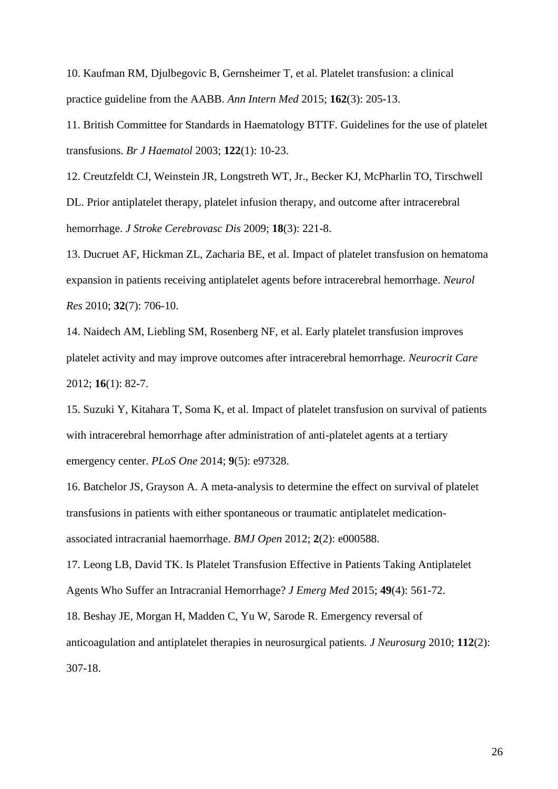10. Kaufman RM, Djulbegovic B, Gernsheimer T, et al. Platelet transfusion: a clinical practice guideline from the AABB. *Ann Intern Med* 2015; **162**(3): 205-13.

11. British Committee for Standards in Haematology BTTF. Guidelines for the use of platelet transfusions. *Br J Haematol* 2003; **122**(1): 10-23.

12. Creutzfeldt CJ, Weinstein JR, Longstreth WT, Jr., Becker KJ, McPharlin TO, Tirschwell DL. Prior antiplatelet therapy, platelet infusion therapy, and outcome after intracerebral hemorrhage. *J Stroke Cerebrovasc Dis* 2009; **18**(3): 221-8.

13. Ducruet AF, Hickman ZL, Zacharia BE, et al. Impact of platelet transfusion on hematoma expansion in patients receiving antiplatelet agents before intracerebral hemorrhage. *Neurol Res* 2010; **32**(7): 706-10.

14. Naidech AM, Liebling SM, Rosenberg NF, et al. Early platelet transfusion improves platelet activity and may improve outcomes after intracerebral hemorrhage. *Neurocrit Care* 2012; **16**(1): 82-7.

15. Suzuki Y, Kitahara T, Soma K, et al. Impact of platelet transfusion on survival of patients with intracerebral hemorrhage after administration of anti-platelet agents at a tertiary emergency center. *PLoS One* 2014; **9**(5): e97328.

16. Batchelor JS, Grayson A. A meta-analysis to determine the effect on survival of platelet transfusions in patients with either spontaneous or traumatic antiplatelet medicationassociated intracranial haemorrhage. *BMJ Open* 2012; **2**(2): e000588.

17. Leong LB, David TK. Is Platelet Transfusion Effective in Patients Taking Antiplatelet Agents Who Suffer an Intracranial Hemorrhage? *J Emerg Med* 2015; **49**(4): 561-72.

18. Beshay JE, Morgan H, Madden C, Yu W, Sarode R. Emergency reversal of anticoagulation and antiplatelet therapies in neurosurgical patients. *J Neurosurg* 2010; **112**(2): 307-18.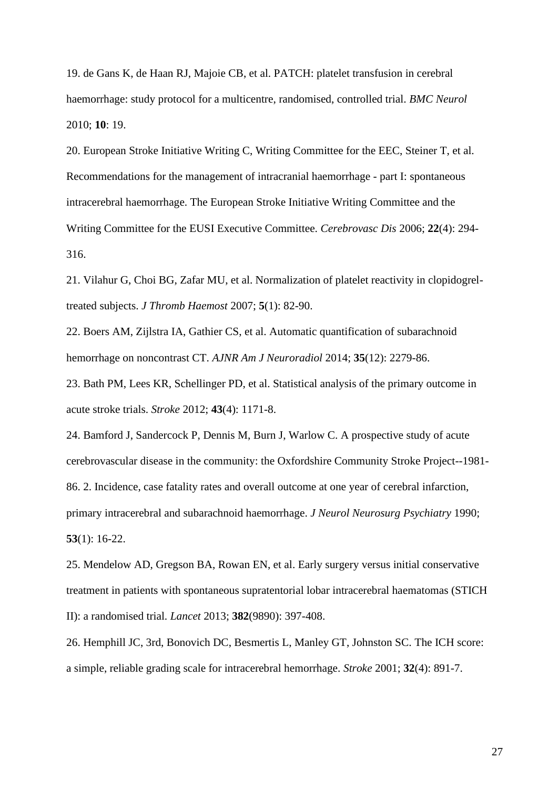19. de Gans K, de Haan RJ, Majoie CB, et al. PATCH: platelet transfusion in cerebral haemorrhage: study protocol for a multicentre, randomised, controlled trial. *BMC Neurol* 2010; **10**: 19.

20. European Stroke Initiative Writing C, Writing Committee for the EEC, Steiner T, et al. Recommendations for the management of intracranial haemorrhage - part I: spontaneous intracerebral haemorrhage. The European Stroke Initiative Writing Committee and the Writing Committee for the EUSI Executive Committee. *Cerebrovasc Dis* 2006; **22**(4): 294- 316.

21. Vilahur G, Choi BG, Zafar MU, et al. Normalization of platelet reactivity in clopidogreltreated subjects. *J Thromb Haemost* 2007; **5**(1): 82-90.

22. Boers AM, Zijlstra IA, Gathier CS, et al. Automatic quantification of subarachnoid hemorrhage on noncontrast CT. *AJNR Am J Neuroradiol* 2014; **35**(12): 2279-86.

23. Bath PM, Lees KR, Schellinger PD, et al. Statistical analysis of the primary outcome in acute stroke trials. *Stroke* 2012; **43**(4): 1171-8.

24. Bamford J, Sandercock P, Dennis M, Burn J, Warlow C. A prospective study of acute cerebrovascular disease in the community: the Oxfordshire Community Stroke Project--1981- 86. 2. Incidence, case fatality rates and overall outcome at one year of cerebral infarction, primary intracerebral and subarachnoid haemorrhage. *J Neurol Neurosurg Psychiatry* 1990; **53**(1): 16-22.

25. Mendelow AD, Gregson BA, Rowan EN, et al. Early surgery versus initial conservative treatment in patients with spontaneous supratentorial lobar intracerebral haematomas (STICH II): a randomised trial. *Lancet* 2013; **382**(9890): 397-408.

26. Hemphill JC, 3rd, Bonovich DC, Besmertis L, Manley GT, Johnston SC. The ICH score: a simple, reliable grading scale for intracerebral hemorrhage. *Stroke* 2001; **32**(4): 891-7.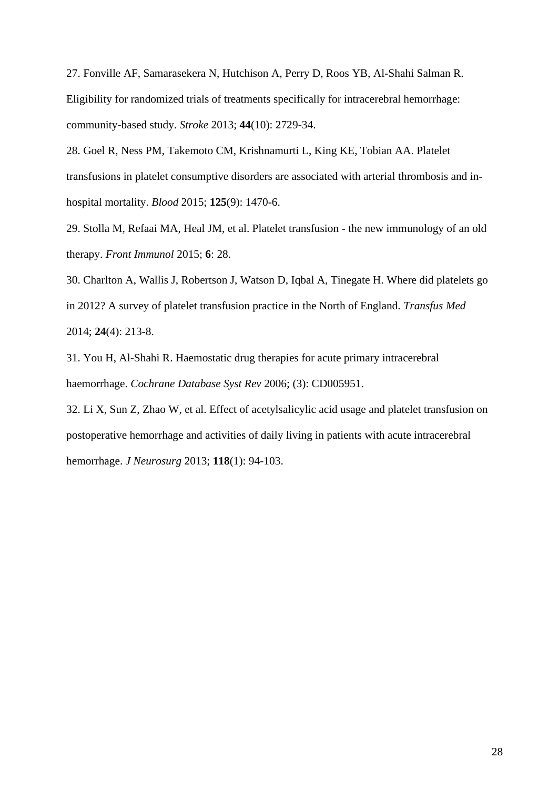27. Fonville AF, Samarasekera N, Hutchison A, Perry D, Roos YB, Al-Shahi Salman R. Eligibility for randomized trials of treatments specifically for intracerebral hemorrhage: community-based study. *Stroke* 2013; **44**(10): 2729-34.

28. Goel R, Ness PM, Takemoto CM, Krishnamurti L, King KE, Tobian AA. Platelet transfusions in platelet consumptive disorders are associated with arterial thrombosis and inhospital mortality. *Blood* 2015; **125**(9): 1470-6.

29. Stolla M, Refaai MA, Heal JM, et al. Platelet transfusion - the new immunology of an old therapy. *Front Immunol* 2015; **6**: 28.

30. Charlton A, Wallis J, Robertson J, Watson D, Iqbal A, Tinegate H. Where did platelets go in 2012? A survey of platelet transfusion practice in the North of England. *Transfus Med* 2014; **24**(4): 213-8.

31. You H, Al-Shahi R. Haemostatic drug therapies for acute primary intracerebral haemorrhage. *Cochrane Database Syst Rev* 2006; (3): CD005951.

32. Li X, Sun Z, Zhao W, et al. Effect of acetylsalicylic acid usage and platelet transfusion on postoperative hemorrhage and activities of daily living in patients with acute intracerebral hemorrhage. *J Neurosurg* 2013; **118**(1): 94-103.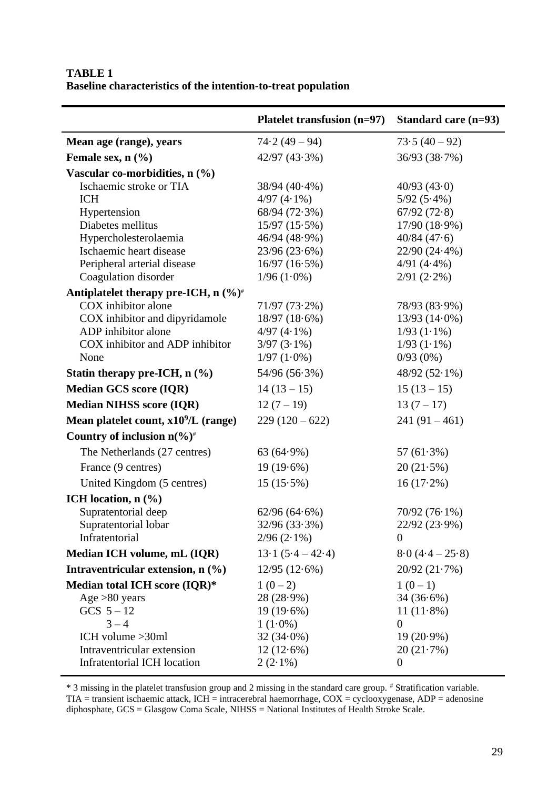## **TABLE 1 Baseline characteristics of the intention-to-treat population**

 $\overline{a}$ 

|                                                  | Platelet transfusion (n=97) | Standard care $(n=93)$ |
|--------------------------------------------------|-----------------------------|------------------------|
| Mean age (range), years                          | $74.2(49-94)$               | $73.5(40-92)$          |
| Female sex, $n$ $(\frac{6}{6})$                  | $42/97$ $(43.3\%)$          | 36/93(38.7%)           |
| Vascular co-morbidities, n (%)                   |                             |                        |
| Ischaemic stroke or TIA                          | 38/94 (40.4%)               | 40/93(43.0)            |
| <b>ICH</b>                                       | $4/97(4.1\%)$               | $5/92(5.4\%)$          |
| Hypertension                                     | 68/94 (72.3%)               | 67/92(72.8)            |
| Diabetes mellitus                                | $15/97(15.5\%)$             | 17/90 (18.9%)          |
| Hypercholesterolaemia                            | 46/94 (48.9%)               | 40/84(47.6)            |
| Ischaemic heart disease                          | 23/96(23.6%)                | $22/90(24.4\%)$        |
| Peripheral arterial disease                      | 16/97(16.5%)                | $4/91(4.4\%)$          |
| Coagulation disorder                             | $1/96(1.0\%)$               | $2/91$ $(2.2\%)$       |
| Antiplatelet therapy pre-ICH, $n (\%)^*$         |                             |                        |
| COX inhibitor alone                              | $71/97(73.2\%)$             | 78/93 (83.9%)          |
| COX inhibitor and dipyridamole                   | $18/97(18.6\%)$             | $13/93(14.0\%)$        |
| ADP inhibitor alone                              | $4/97(4.1\%)$               | $1/93$ $(1.1\%)$       |
| COX inhibitor and ADP inhibitor                  | $3/97(3.1\%)$               | $1/93$ $(1.1\%)$       |
| None                                             | $1/97(1.0\%)$               | $0/93(0\%)$            |
| Statin therapy pre-ICH, $n$ (%)                  | $54/96(56.3\%)$             | $48/92(52.1\%)$        |
| <b>Median GCS score (IQR)</b>                    | $14(13-15)$                 | $15(13-15)$            |
| <b>Median NIHSS score (IQR)</b>                  | $12(7-19)$                  | $13(7-17)$             |
| Mean platelet count, $x10^9/L$ (range)           | $229(120-622)$              | $241(91-461)$          |
| Country of inclusion $n\frac{6}{6}$ <sup>#</sup> |                             |                        |
| The Netherlands (27 centres)                     | $63(64.9\%)$                | 57 $(61.3\%)$          |
| France (9 centres)                               | $19(19.6\%)$                | 20(21.5%)              |
| United Kingdom (5 centres)                       | $15(15.5\%)$                | $16(17.2\%)$           |
| ICH location, $n$ $(\%)$                         |                             |                        |
| Supratentorial deep                              | $62/96(64.6\%)$             | $70/92(76.1\%)$        |
| Supratentorial lobar                             | $32/96(33.3\%)$             | 22/92 (23.9%)          |
| Infratentorial                                   | $2/96$ $(2.1\%)$            | $\theta$               |
| Median ICH volume, mL (IQR)                      | $13.1(5.4-42.4)$            | $8.0(4.4-25.8)$        |
| Intraventricular extension, $n$ $(\%)$           | 12/95(12.6%)                | 20/92(21.7%)           |
| Median total ICH score (IQR)*                    | $1(0-2)$                    | $1(0-1)$               |
| Age $>80$ years                                  | $28(28.9\%)$                | $34(36.6\%)$           |
| $GCS 5-12$                                       | $19(19.6\%)$                | $11(11.8\%)$           |
| $3 - 4$                                          | $1(1.0\%)$                  | $\overline{0}$         |
| ICH volume $>30$ ml                              | $32(34.0\%)$                | $19(20.9\%)$           |
| Intraventricular extension                       | $12(12.6\%)$                | 20(21.7%)              |
| Infratentorial ICH location                      | $2(2.1\%)$                  | $\boldsymbol{0}$       |

\* 3 missing in the platelet transfusion group and 2 missing in the standard care group. # Stratification variable.  $TIA =$  transient ischaemic attack,  $ICH =$  intracerebral haemorrhage,  $COX =$  cyclooxygenase,  $ADP =$  adenosine diphosphate, GCS = Glasgow Coma Scale, NIHSS = National Institutes of Health Stroke Scale.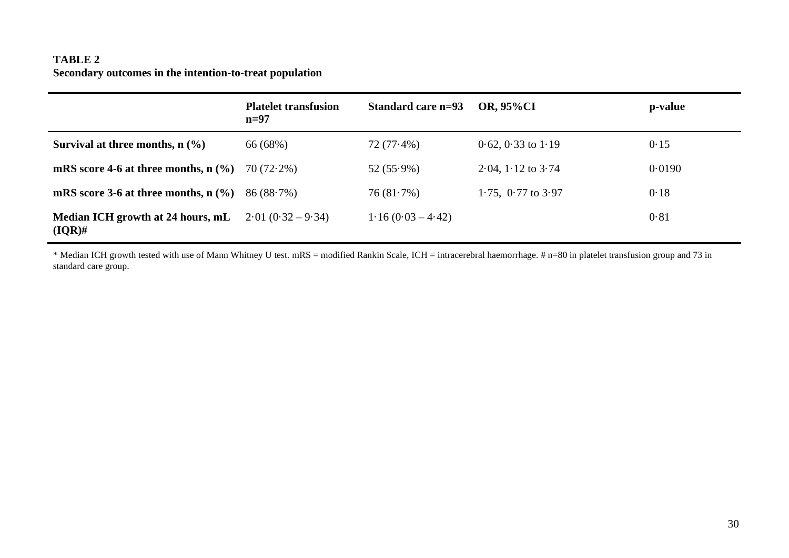## **TABLE 2 Secondary outcomes in the intention-to-treat population**

|                                                | <b>Platelet transfusion</b><br>$n=97$ | Standard care n=93  | <b>OR, 95%CI</b>          | p-value |
|------------------------------------------------|---------------------------------------|---------------------|---------------------------|---------|
| Survival at three months, $n$ (%)              | 66 (68%)                              | $72(77.4\%)$        | $0.62$ , $0.33$ to $1.19$ | 0.15    |
| mRS score 4-6 at three months, $n$ (%)         | $70(72.2\%)$                          | $52(55.9\%)$        | $2.04$ , $1.12$ to $3.74$ | 0.0190  |
| mRS score 3-6 at three months, $n$ (%)         | $86 (88.7\%)$                         | 76(81.7%)           | 1.75, $0.77$ to $3.97$    | 0.18    |
| Median ICH growth at 24 hours, mL<br>$(IQR)$ # | $2.01(0.32 - 9.34)$                   | $1.16(0.03 - 4.42)$ |                           | 0.81    |

\* Median ICH growth tested with use of Mann Whitney U test. mRS = modified Rankin Scale, ICH = intracerebral haemorrhage. # n=80 in platelet transfusion group and 73 in standard care group.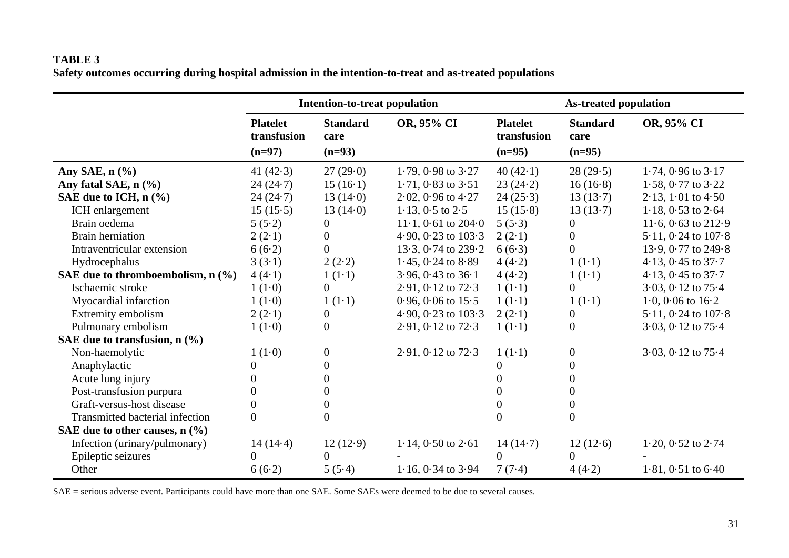| <b>TABLE 3</b>                                                                                           |  |
|----------------------------------------------------------------------------------------------------------|--|
| Safety outcomes occurring during hospital admission in the intention-to-treat and as-treated populations |  |

|                                     | <b>Intention-to-treat population</b>       |                                     |                                           |                                            | <b>As-treated population</b>        |                         |
|-------------------------------------|--------------------------------------------|-------------------------------------|-------------------------------------------|--------------------------------------------|-------------------------------------|-------------------------|
|                                     | <b>Platelet</b><br>transfusion<br>$(n=97)$ | <b>Standard</b><br>care<br>$(n=93)$ | OR, 95% CI                                | <b>Platelet</b><br>transfusion<br>$(n=95)$ | <b>Standard</b><br>care<br>$(n=95)$ | OR, 95% CI              |
| Any SAE, $n$ $%$                    | 41 $(42.3)$                                | 27(29.0)                            | $1.79, 0.98$ to $3.27$                    | 40 $(42.1)$                                | 28(29.5)                            | $1.74$ , 0.96 to $3.17$ |
| Any fatal SAE, n (%)                | 24(24.7)                                   | 15(16.1)                            | $1.71, 0.83$ to $3.51$                    | 23(24.2)                                   | 16(16.8)                            | $1.58$ , 0.77 to $3.22$ |
| SAE due to ICH, $n$ (%)             | 24(24.7)                                   | 13(14.0)                            | $2.02, 0.96$ to $4.27$                    | 24(25.3)                                   | 13(13.7)                            | $2.13, 1.01$ to $4.50$  |
| ICH enlargement                     | 15(15.5)                                   | 13(14.0)                            | $1.13$ , $0.5$ to $2.5$                   | 15(15.8)                                   | 13(13.7)                            | $1.18, 0.53$ to $2.64$  |
| Brain oedema                        | 5(5.2)                                     | $\overline{0}$                      | $11 \cdot 1, 0 \cdot 61$ to $204 \cdot 0$ | 5(5.3)                                     | $\overline{0}$                      | $11.6$ , 0.63 to 212.9  |
| <b>Brain herniation</b>             | $2(2-1)$                                   | $\overline{0}$                      | 4.90, 0.23 to $103.3$                     | $2(2-1)$                                   | $\overline{0}$                      | $5.11, 0.24$ to $107.8$ |
| Intraventricular extension          | 6(6.2)                                     | $\overline{0}$                      | 13.3, 0.74 to 239.2                       | 6(6.3)                                     | $\overline{0}$                      | 13.9, 0.77 to 249.8     |
| Hydrocephalus                       | 3(3.1)                                     | 2(2.2)                              | $1.45$ , 0.24 to $8.89$                   | 4(4.2)                                     | $1(1-1)$                            | 4.13, $0.45$ to $37.7$  |
| SAE due to thromboembolism, $n$ (%) | 4(4.1)                                     | $1(1-1)$                            | $3.96, 0.43$ to $36.1$                    | 4(4.2)                                     | $1(1-1)$                            | 4.13, 0.45 to $37.7$    |
| Ischaemic stroke                    | 1(1.0)                                     | $\overline{0}$                      | $2.91, 0.12$ to $72.3$                    | $1(1-1)$                                   | $\overline{0}$                      | $3.03$ , 0.12 to $75.4$ |
| Myocardial infarction               | 1(1.0)                                     | $1(1-1)$                            | $0.96, 0.06$ to $15.5$                    | $1(1-1)$                                   | $1(1-1)$                            | 1.0, 0.06 to $16.2$     |
| Extremity embolism                  | $2(2-1)$                                   | $\theta$                            | 4.90, 0.23 to $103.3$                     | $2(2-1)$                                   | $\overline{0}$                      | $5.11, 0.24$ to $107.8$ |
| Pulmonary embolism                  | 1(1.0)                                     | $\overline{0}$                      | $2.91, 0.12$ to $72.3$                    | $1(1-1)$                                   | $\boldsymbol{0}$                    | $3.03$ , 0.12 to $75.4$ |
| SAE due to transfusion, $n$ (%)     |                                            |                                     |                                           |                                            |                                     |                         |
| Non-haemolytic                      | 1(1.0)                                     | $\overline{0}$                      | $2.91, 0.12$ to $72.3$                    | $1(1-1)$                                   | $\overline{0}$                      | $3.03$ , 0.12 to $75.4$ |
| Anaphylactic                        |                                            | $\Omega$                            |                                           | 0                                          | 0                                   |                         |
| Acute lung injury                   |                                            | 0                                   |                                           | $\Omega$                                   | 0                                   |                         |
| Post-transfusion purpura            |                                            | 0                                   |                                           | 0                                          | 0                                   |                         |
| Graft-versus-host disease           |                                            | 0                                   |                                           | $\Omega$                                   | 0                                   |                         |
| Transmitted bacterial infection     | $\Omega$                                   | $\theta$                            |                                           | $\theta$                                   | $\overline{0}$                      |                         |
| SAE due to other causes, $n$ (%)    |                                            |                                     |                                           |                                            |                                     |                         |
| Infection (urinary/pulmonary)       | 14(14.4)                                   | 12(12.9)                            | $1.14, 0.50$ to $2.61$                    | 14(14.7)                                   | 12(12.6)                            | $1.20, 0.52$ to $2.74$  |
| Epileptic seizures                  | $\Omega$                                   | $\Omega$                            |                                           | $\Omega$                                   | $\Omega$                            |                         |
| Other                               | 6(6.2)                                     | 5(5.4)                              | $1.16$ , 0.34 to 3.94                     | 7(7.4)                                     | 4(4.2)                              | $1.81, 0.51$ to $6.40$  |

SAE = serious adverse event. Participants could have more than one SAE. Some SAEs were deemed to be due to several causes.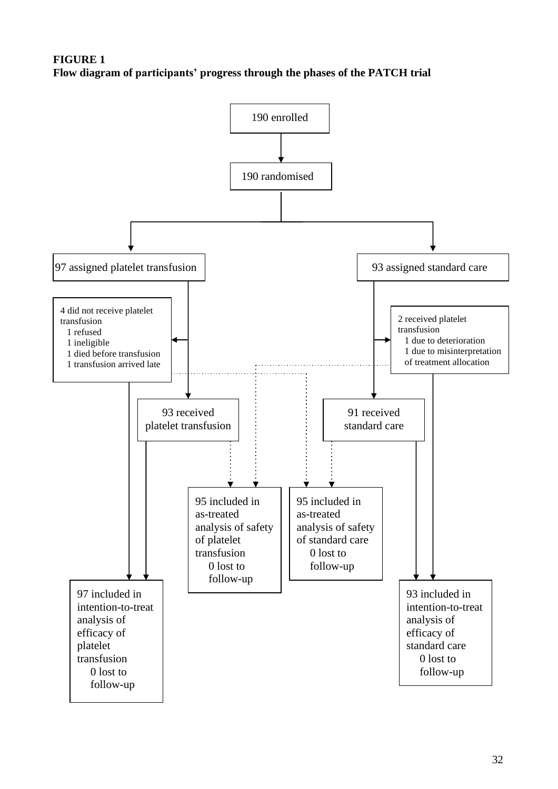# **FIGURE 1 Flow diagram of participants' progress through the phases of the PATCH trial**